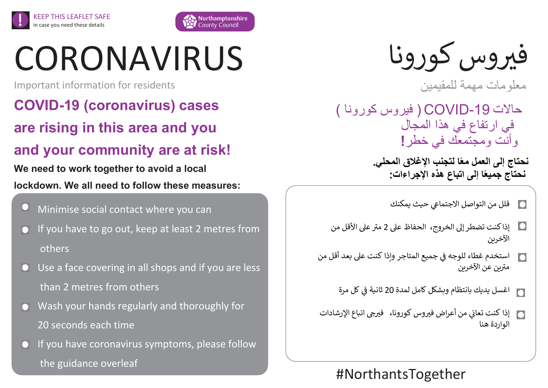

# CORONAVIRUS

Important information for residents

KEEP THIS LEAFLET SAFE in case you need these details

**COVID-19 (coronavirus) cases** 

**are rising in this area and you** 

# **and your community are at risk!**

**We need to work together to avoid a local lockdown. We all need to follow these measures:**

Minimise social contact where you can

If you have to go out, keep at least 2 metres from others

Use a face covering in all shops and if you are less than 2 metres from others

- Wash your hands regularly and thoroughly for 20 seconds each time
- If you have coronavirus symptoms, please follow the guidance overleaf

فيروس كورونا

معلومات مهمة للمقيمين

حاالت ) فيروس كورونا ( COVID-19 في ارتفاع في هذا المجال وأنت ومجتمعك في خطر**!**

> **نحتاج إلى العمل معًا لتجنب اإلغالق المحلي. نحتاج جميعًا إلى اتباع هذه اإلجراءات:**

- قلل من التواصل الاجتماعي حيث يمكنك  $\Box$
- مت <sup>ر</sup> إذا كنت تضطر إىل الخروج، الحفاظ عىل 2 عىل األقل من الآخرين
- ֦֧֦֧֦֧֦֧֦֧ׅׅ֪֪ׅ֚֚֡֜֜֓֡֜֜֓֡֡֜֓֡֡֜֓֡֡֓֡֡֬֜ استخدم غطاء للوجه في جميع المتاجر وإذا كنت على بعد أقل من  $\overline{\Omega}$ Ş ر<br>مترين عن الآخرين
	- اغسل يديك بانتظام وبشكل كامل لمدة 20 ثانية ف كل مرة Ş ֦֧֦֧֦֧֦֧֦֧֦֧֦֧֦֧֧֦֧֦֧֦֜֜֓֓֜֜֜֜֜
- إذا كنت تعاني من أعراض فيروس كورونا، فيرجى اتباع الإرشادات ؙؚ<br>; الواردة هنا

# #NorthantsTogether